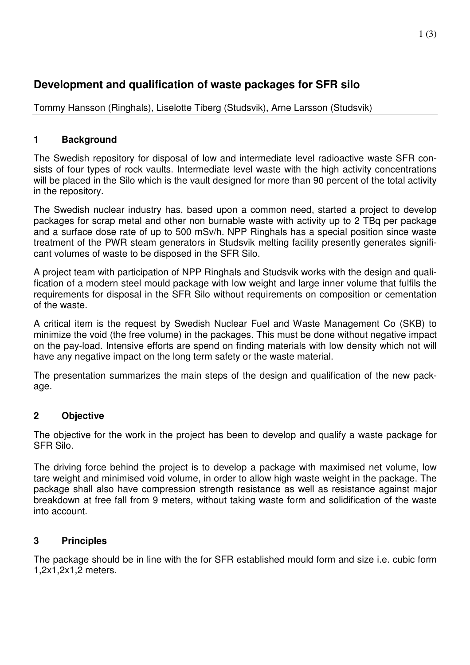# **Development and qualification of waste packages for SFR silo**

Tommy Hansson (Ringhals), Liselotte Tiberg (Studsvik), Arne Larsson (Studsvik)

## **1 Background**

The Swedish repository for disposal of low and intermediate level radioactive waste SFR consists of four types of rock vaults. Intermediate level waste with the high activity concentrations will be placed in the Silo which is the vault designed for more than 90 percent of the total activity in the repository.

The Swedish nuclear industry has, based upon a common need, started a project to develop packages for scrap metal and other non burnable waste with activity up to 2 TBq per package and a surface dose rate of up to 500 mSv/h. NPP Ringhals has a special position since waste treatment of the PWR steam generators in Studsvik melting facility presently generates significant volumes of waste to be disposed in the SFR Silo.

A project team with participation of NPP Ringhals and Studsvik works with the design and qualification of a modern steel mould package with low weight and large inner volume that fulfils the requirements for disposal in the SFR Silo without requirements on composition or cementation of the waste.

A critical item is the request by Swedish Nuclear Fuel and Waste Management Co (SKB) to minimize the void (the free volume) in the packages. This must be done without negative impact on the pay-load. Intensive efforts are spend on finding materials with low density which not will have any negative impact on the long term safety or the waste material.

The presentation summarizes the main steps of the design and qualification of the new package.

## **2 Objective**

The objective for the work in the project has been to develop and qualify a waste package for SFR Silo.

The driving force behind the project is to develop a package with maximised net volume, low tare weight and minimised void volume, in order to allow high waste weight in the package. The package shall also have compression strength resistance as well as resistance against major breakdown at free fall from 9 meters, without taking waste form and solidification of the waste into account.

## **3 Principles**

The package should be in line with the for SFR established mould form and size i.e. cubic form 1,2x1,2x1,2 meters.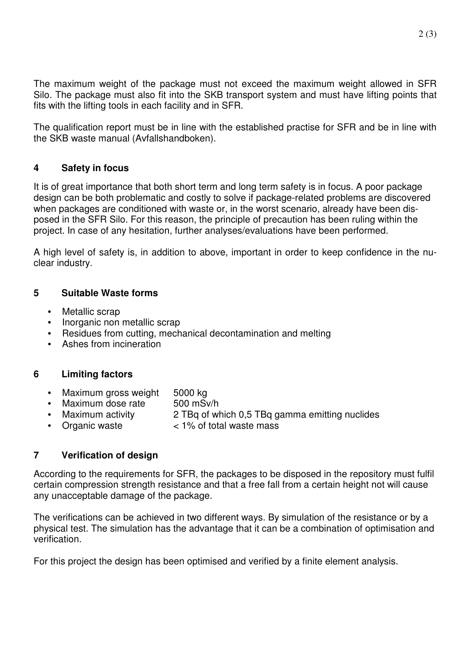The maximum weight of the package must not exceed the maximum weight allowed in SFR Silo. The package must also fit into the SKB transport system and must have lifting points that fits with the lifting tools in each facility and in SFR.

The qualification report must be in line with the established practise for SFR and be in line with the SKB waste manual (Avfallshandboken).

#### **4 Safety in focus**

It is of great importance that both short term and long term safety is in focus. A poor package design can be both problematic and costly to solve if package-related problems are discovered when packages are conditioned with waste or, in the worst scenario, already have been disposed in the SFR Silo. For this reason, the principle of precaution has been ruling within the project. In case of any hesitation, further analyses/evaluations have been performed.

A high level of safety is, in addition to above, important in order to keep confidence in the nuclear industry.

#### **5 Suitable Waste forms**

- Metallic scrap
- Inorganic non metallic scrap
- Residues from cutting, mechanical decontamination and melting
- Ashes from incineration

#### **6 Limiting factors**

- Maximum gross weight 5000 kg
- Maximum dose rate 500 mSv/h
	-
- Maximum activity 2 TBq of which 0,5 TBq gamma emitting nuclides
- Organic waste  $\sim$  1% of total waste mass

#### **7 Verification of design**

According to the requirements for SFR, the packages to be disposed in the repository must fulfil certain compression strength resistance and that a free fall from a certain height not will cause any unacceptable damage of the package.

The verifications can be achieved in two different ways. By simulation of the resistance or by a physical test. The simulation has the advantage that it can be a combination of optimisation and verification.

For this project the design has been optimised and verified by a finite element analysis.